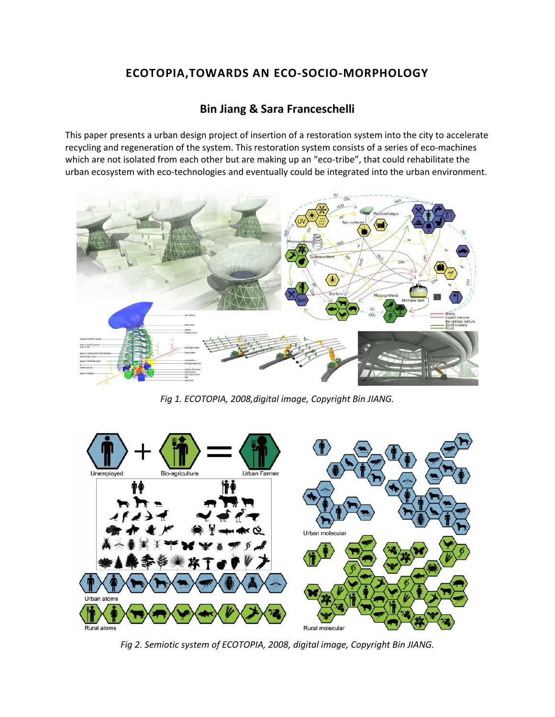## **ECOTOPIA,TOWARDS AN ECO-SOCIO-MORPHOLOGY**

## **[Bin Jiang](http://isea2011.sabanciuniv.edu/-363.html) & [Sara Franceschelli](http://isea2011.sabanciuniv.edu/dr-76.html)**

This paper presents a urban design project of insertion of a restoration system into the city to accelerate recycling and regeneration of the system. This restoration system consists of a series of eco-machines which are not isolated from each other but are making up an "eco-tribe", that could rehabilitate the urban ecosystem with eco-technologies and eventually could be integrated into the urban environment.



*Fig 1. ECOTOPIA, 2008,digital image, Copyright Bin JIANG.*



*Fig 2. Semiotic system of ECOTOPIA, 2008, digital image, Copyright Bin JIANG.*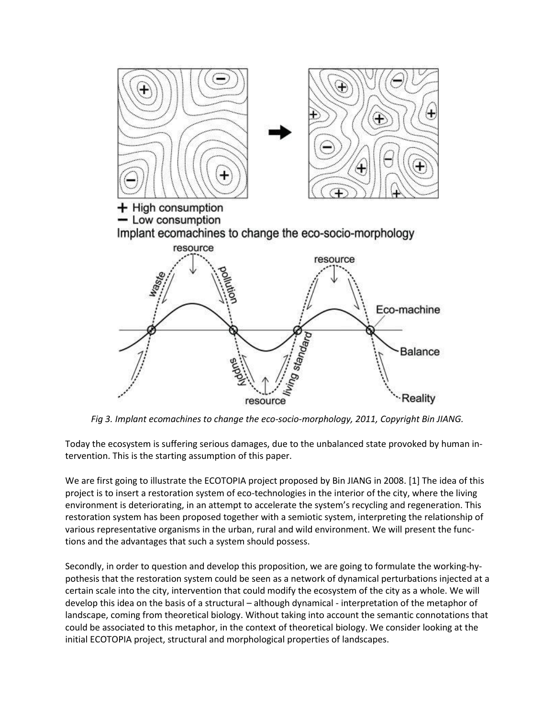

*Fig 3. Implant ecomachines to change the eco-socio-morphology, 2011, Copyright Bin JIANG.*

Today the ecosystem is suffering serious damages, due to the unbalanced state provoked by human intervention. This is the starting assumption of this paper.

We are first going to illustrate the ECOTOPIA project proposed by Bin JIANG in 2008. [1] The idea of this project is to insert a restoration system of eco-technologies in the interior of the city, where the living environment is deteriorating, in an attempt to accelerate the system's recycling and regeneration. This restoration system has been proposed together with a semiotic system, interpreting the relationship of various representative organisms in the urban, rural and wild environment. We will present the functions and the advantages that such a system should possess.

Secondly, in order to question and develop this proposition, we are going to formulate the working-hypothesis that the restoration system could be seen as a network of dynamical perturbations injected at a certain scale into the city, intervention that could modify the ecosystem of the city as a whole. We will develop this idea on the basis of a structural – although dynamical - interpretation of the metaphor of landscape, coming from theoretical biology. Without taking into account the semantic connotations that could be associated to this metaphor, in the context of theoretical biology. We consider looking at the initial ECOTOPIA project, structural and morphological properties of landscapes.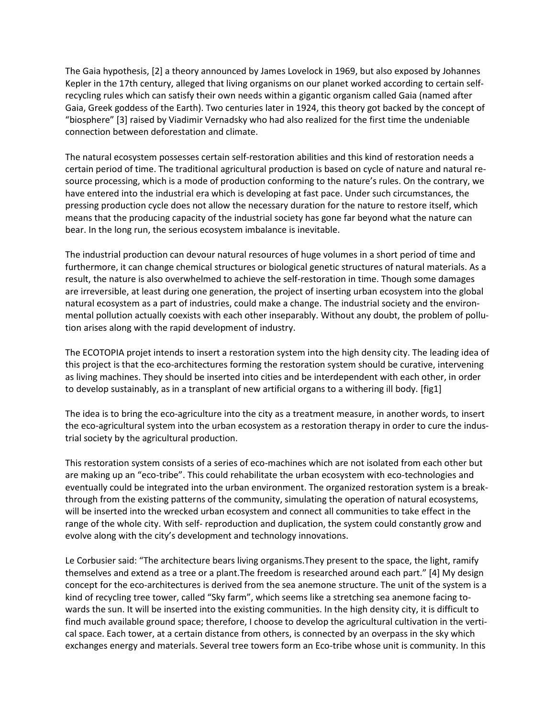The Gaia hypothesis, [2] a theory announced by James Lovelock in 1969, but also exposed by Johannes Kepler in the 17th century, alleged that living organisms on our planet worked according to certain selfrecycling rules which can satisfy their own needs within a gigantic organism called Gaia (named after Gaia, Greek goddess of the Earth). Two centuries later in 1924, this theory got backed by the concept of "biosphere" [3] raised by Viadimir Vernadsky who had also realized for the first time the undeniable connection between deforestation and climate.

The natural ecosystem possesses certain self-restoration abilities and this kind of restoration needs a certain period of time. The traditional agricultural production is based on cycle of nature and natural resource processing, which is a mode of production conforming to the nature's rules. On the contrary, we have entered into the industrial era which is developing at fast pace. Under such circumstances, the pressing production cycle does not allow the necessary duration for the nature to restore itself, which means that the producing capacity of the industrial society has gone far beyond what the nature can bear. In the long run, the serious ecosystem imbalance is inevitable.

The industrial production can devour natural resources of huge volumes in a short period of time and furthermore, it can change chemical structures or biological genetic structures of natural materials. As a result, the nature is also overwhelmed to achieve the self-restoration in time. Though some damages are irreversible, at least during one generation, the project of inserting urban ecosystem into the global natural ecosystem as a part of industries, could make a change. The industrial society and the environmental pollution actually coexists with each other inseparably. Without any doubt, the problem of pollution arises along with the rapid development of industry.

The ECOTOPIA projet intends to insert a restoration system into the high density city. The leading idea of this project is that the eco-architectures forming the restoration system should be curative, intervening as living machines. They should be inserted into cities and be interdependent with each other, in order to develop sustainably, as in a transplant of new artificial organs to a withering ill body. [fig1]

The idea is to bring the eco-agriculture into the city as a treatment measure, in another words, to insert the eco-agricultural system into the urban ecosystem as a restoration therapy in order to cure the industrial society by the agricultural production.

This restoration system consists of a series of eco-machines which are not isolated from each other but are making up an "eco-tribe". This could rehabilitate the urban ecosystem with eco-technologies and eventually could be integrated into the urban environment. The organized restoration system is a breakthrough from the existing patterns of the community, simulating the operation of natural ecosystems, will be inserted into the wrecked urban ecosystem and connect all communities to take effect in the range of the whole city. With self- reproduction and duplication, the system could constantly grow and evolve along with the city's development and technology innovations.

Le Corbusier said: "The architecture bears living organisms.They present to the space, the light, ramify themselves and extend as a tree or a plant.The freedom is researched around each part." [4] My design concept for the eco-architectures is derived from the sea anemone structure. The unit of the system is a kind of recycling tree tower, called "Sky farm", which seems like a stretching sea anemone facing towards the sun. It will be inserted into the existing communities. In the high density city, it is difficult to find much available ground space; therefore, I choose to develop the agricultural cultivation in the vertical space. Each tower, at a certain distance from others, is connected by an overpass in the sky which exchanges energy and materials. Several tree towers form an Eco-tribe whose unit is community. In this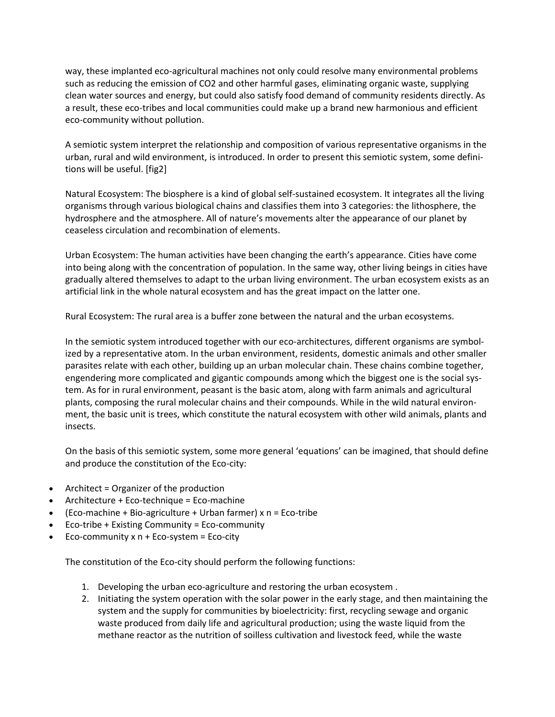way, these implanted eco-agricultural machines not only could resolve many environmental problems such as reducing the emission of CO2 and other harmful gases, eliminating organic waste, supplying clean water sources and energy, but could also satisfy food demand of community residents directly. As a result, these eco-tribes and local communities could make up a brand new harmonious and efficient eco-community without pollution.

A semiotic system interpret the relationship and composition of various representative organisms in the urban, rural and wild environment, is introduced. In order to present this semiotic system, some definitions will be useful. [fig2]

Natural Ecosystem: The biosphere is a kind of global self-sustained ecosystem. It integrates all the living organisms through various biological chains and classifies them into 3 categories: the lithosphere, the hydrosphere and the atmosphere. All of nature's movements alter the appearance of our planet by ceaseless circulation and recombination of elements.

Urban Ecosystem: The human activities have been changing the earth's appearance. Cities have come into being along with the concentration of population. In the same way, other living beings in cities have gradually altered themselves to adapt to the urban living environment. The urban ecosystem exists as an artificial link in the whole natural ecosystem and has the great impact on the latter one.

Rural Ecosystem: The rural area is a buffer zone between the natural and the urban ecosystems.

In the semiotic system introduced together with our eco-architectures, different organisms are symbolized by a representative atom. In the urban environment, residents, domestic animals and other smaller parasites relate with each other, building up an urban molecular chain. These chains combine together, engendering more complicated and gigantic compounds among which the biggest one is the social system. As for in rural environment, peasant is the basic atom, along with farm animals and agricultural plants, composing the rural molecular chains and their compounds. While in the wild natural environment, the basic unit is trees, which constitute the natural ecosystem with other wild animals, plants and insects.

On the basis of this semiotic system, some more general 'equations' can be imagined, that should define and produce the constitution of the Eco-city:

- Architect = Organizer of the production
- Architecture + Eco-technique = Eco-machine
- (Eco-machine + Bio-agriculture + Urban farmer) x n = Eco-tribe
- Eco-tribe + Existing Community = Eco-community
- Eco-community x n + Eco-system = Eco-city

The constitution of the Eco-city should perform the following functions:

- 1. Developing the urban eco-agriculture and restoring the urban ecosystem .
- 2. Initiating the system operation with the solar power in the early stage, and then maintaining the system and the supply for communities by bioelectricity: first, recycling sewage and organic waste produced from daily life and agricultural production; using the waste liquid from the methane reactor as the nutrition of soilless cultivation and livestock feed, while the waste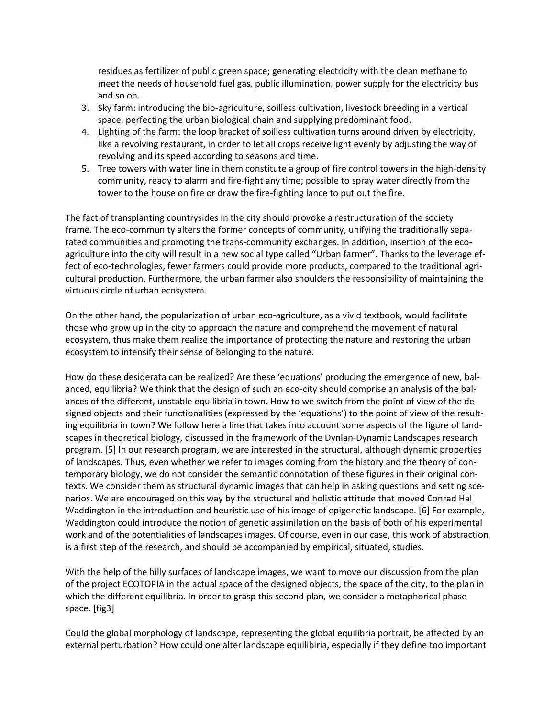residues as fertilizer of public green space; generating electricity with the clean methane to meet the needs of household fuel gas, public illumination, power supply for the electricity bus and so on.

- 3. Sky farm: introducing the bio-agriculture, soilless cultivation, livestock breeding in a vertical space, perfecting the urban biological chain and supplying predominant food.
- 4. Lighting of the farm: the loop bracket of soilless cultivation turns around driven by electricity, like a revolving restaurant, in order to let all crops receive light evenly by adjusting the way of revolving and its speed according to seasons and time.
- 5. Tree towers with water line in them constitute a group of fire control towers in the high-density community, ready to alarm and fire-fight any time; possible to spray water directly from the tower to the house on fire or draw the fire-fighting lance to put out the fire.

The fact of transplanting countrysides in the city should provoke a restructuration of the society frame. The eco-community alters the former concepts of community, unifying the traditionally separated communities and promoting the trans-community exchanges. In addition, insertion of the ecoagriculture into the city will result in a new social type called "Urban farmer". Thanks to the leverage effect of eco-technologies, fewer farmers could provide more products, compared to the traditional agricultural production. Furthermore, the urban farmer also shoulders the responsibility of maintaining the virtuous circle of urban ecosystem.

On the other hand, the popularization of urban eco-agriculture, as a vivid textbook, would facilitate those who grow up in the city to approach the nature and comprehend the movement of natural ecosystem, thus make them realize the importance of protecting the nature and restoring the urban ecosystem to intensify their sense of belonging to the nature.

How do these desiderata can be realized? Are these 'equations' producing the emergence of new, balanced, equilibria? We think that the design of such an eco-city should comprise an analysis of the balances of the different, unstable equilibria in town. How to we switch from the point of view of the designed objects and their functionalities (expressed by the 'equations') to the point of view of the resulting equilibria in town? We follow here a line that takes into account some aspects of the figure of landscapes in theoretical biology, discussed in the framework of the Dynlan-Dynamic Landscapes research program. [5] In our research program, we are interested in the structural, although dynamic properties of landscapes. Thus, even whether we refer to images coming from the history and the theory of contemporary biology, we do not consider the semantic connotation of these figures in their original contexts. We consider them as structural dynamic images that can help in asking questions and setting scenarios. We are encouraged on this way by the structural and holistic attitude that moved Conrad Hal Waddington in the introduction and heuristic use of his image of epigenetic landscape. [6] For example, Waddington could introduce the notion of genetic assimilation on the basis of both of his experimental work and of the potentialities of landscapes images. Of course, even in our case, this work of abstraction is a first step of the research, and should be accompanied by empirical, situated, studies.

With the help of the hilly surfaces of landscape images, we want to move our discussion from the plan of the project ECOTOPIA in the actual space of the designed objects, the space of the city, to the plan in which the different equilibria. In order to grasp this second plan, we consider a metaphorical phase space. [fig3]

Could the global morphology of landscape, representing the global equilibria portrait, be affected by an external perturbation? How could one alter landscape equilibiria, especially if they define too important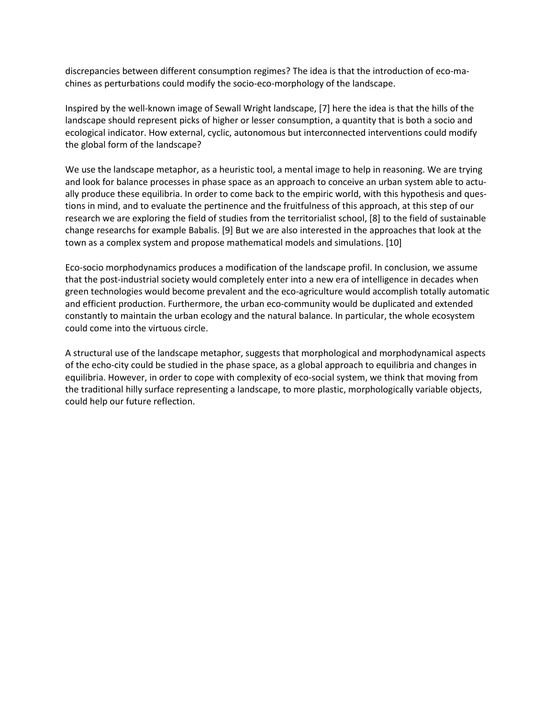discrepancies between different consumption regimes? The idea is that the introduction of eco-machines as perturbations could modify the socio-eco-morphology of the landscape.

Inspired by the well-known image of Sewall Wright landscape, [7] here the idea is that the hills of the landscape should represent picks of higher or lesser consumption, a quantity that is both a socio and ecological indicator. How external, cyclic, autonomous but interconnected interventions could modify the global form of the landscape?

We use the landscape metaphor, as a heuristic tool, a mental image to help in reasoning. We are trying and look for balance processes in phase space as an approach to conceive an urban system able to actually produce these equilibria. In order to come back to the empiric world, with this hypothesis and questions in mind, and to evaluate the pertinence and the fruitfulness of this approach, at this step of our research we are exploring the field of studies from the territorialist school, [8] to the field of sustainable change researchs for example Babalis. [9] But we are also interested in the approaches that look at the town as a complex system and propose mathematical models and simulations. [10]

Eco-socio morphodynamics produces a modification of the landscape profil. In conclusion, we assume that the post-industrial society would completely enter into a new era of intelligence in decades when green technologies would become prevalent and the eco-agriculture would accomplish totally automatic and efficient production. Furthermore, the urban eco-community would be duplicated and extended constantly to maintain the urban ecology and the natural balance. In particular, the whole ecosystem could come into the virtuous circle.

A structural use of the landscape metaphor, suggests that morphological and morphodynamical aspects of the echo-city could be studied in the phase space, as a global approach to equilibria and changes in equilibria. However, in order to cope with complexity of eco-social system, we think that moving from the traditional hilly surface representing a landscape, to more plastic, morphologically variable objects, could help our future reflection.